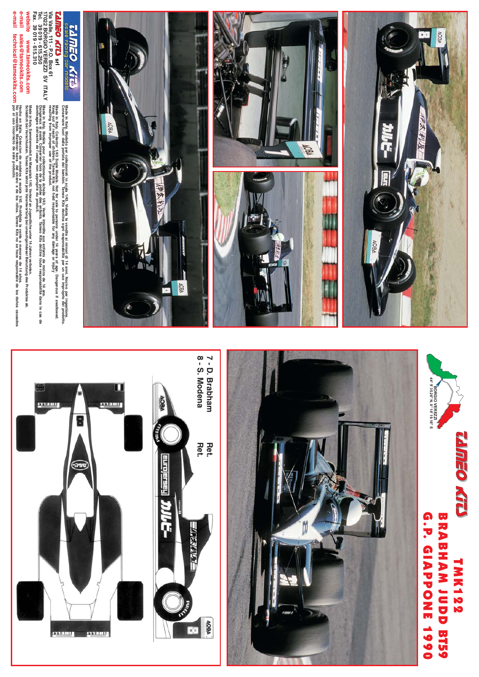





## **TAMEO KID** racing car models

Via Valle, 111 - P.O. Box 61<br>17022 BORGIO VEREZZI SV ITALY<br>Tel. 39 019 - 615.250<br>Fax. 39 019 - 615.310 *<u>LAMEO KITA srl</u>* 

website

sales@tameokits.com www.tameokits.com

> Made in Italy, Collector 1/43 Scale Models, Not for sale to persons under 14 years of age. Dangerous if swallowed.<br>The first property of the sale of the product.<br>resulting from improper use of the product. Made in Italy, Modello per collezionisti in scala 1/43, Vietata la vendita ai minori di 14 anni. Nocivo per ingestione.<br>Conservare fuori dalla portata del bambini. Tameo Kits decima ogni responsabilità per un uso improprio

Made in Italy, Modèle pour collectioneurs échele 143. Vente interdite aux enfants de moins de 14 ans.<br>A maritaire de la proposa de la proposa de la 143. Vente interdite aux échine toute responsabilité dans le cas<br>dommages

Made in Italy. Sammlermodell im Massstab 1/43. Verkauf an Jugendliche unter 14 Jahren verboten.<br>Schädlich bei Verschlucken. Tameo Kits lehrt jede Verantwortung bei unsachgemässer Benutzung des Produktes ab.

e-mail Sales © tameokits.com Hecho en italia. Colección de modelos a escala 143. Ponibida la venta a menores de 14 años.<br>e-mail technical © tameokits.com por el uso inconecto de este producto.<br>e-mail technical © tameokits.



## BRABHAM IUD B129 **G.P. GIAPPONE TMK122** 1990